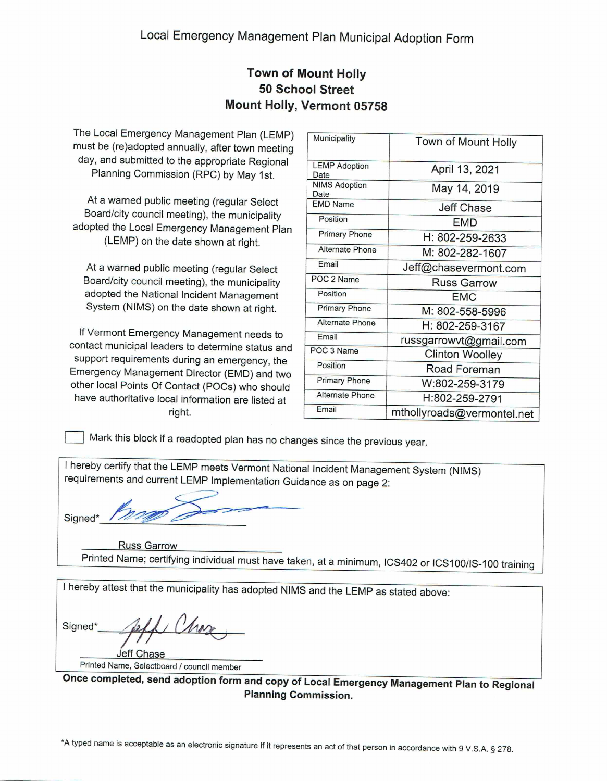## **Town of Mount Holly 50 School Street** Mount Holly, Vermont 05758

The Local Emergency Management Plan (LEMP) must be (re)adopted annually, after town meeting day, and submitted to the appropriate Regional Planning Commission (RPC) by May 1st.

At a warned public meeting (regular Select Board/city council meeting), the municipality adopted the Local Emergency Management Plan (LEMP) on the date shown at right.

At a warned public meeting (regular Select Board/city council meeting), the municipality adopted the National Incident Management System (NIMS) on the date shown at right.

If Vermont Emergency Management needs to contact municipal leaders to determine status and support requirements during an emergency, the Emergency Management Director (EMD) and two other local Points Of Contact (POCs) who should have authoritative local information are listed at right.

| Town of Mount Holly        |
|----------------------------|
|                            |
|                            |
|                            |
|                            |
|                            |
|                            |
|                            |
| Jeff@chasevermont.com      |
|                            |
|                            |
|                            |
|                            |
| russgarrowvt@gmail.com     |
|                            |
|                            |
|                            |
|                            |
| mthollyroads@vermontel.net |
|                            |

Mark this block if a readopted plan has no changes since the previous year.

I hereby certify that the LEMP meets Vermont National Incident Management System (NIMS) requirements and current LEMP Implementation Guidance as on page 2:

Signed\*

**Russ Garrow** Printed Name; certifying individual must have taken, at a minimum, ICS402 or ICS100/IS-100 training

I hereby attest that the municipality has adopted NIMS and the LEMP as stated above:

Signed\* leff Chase

Printed Name, Selectboard / council member

Once completed, send adoption form and copy of Local Emergency Management Plan to Regional **Planning Commission.**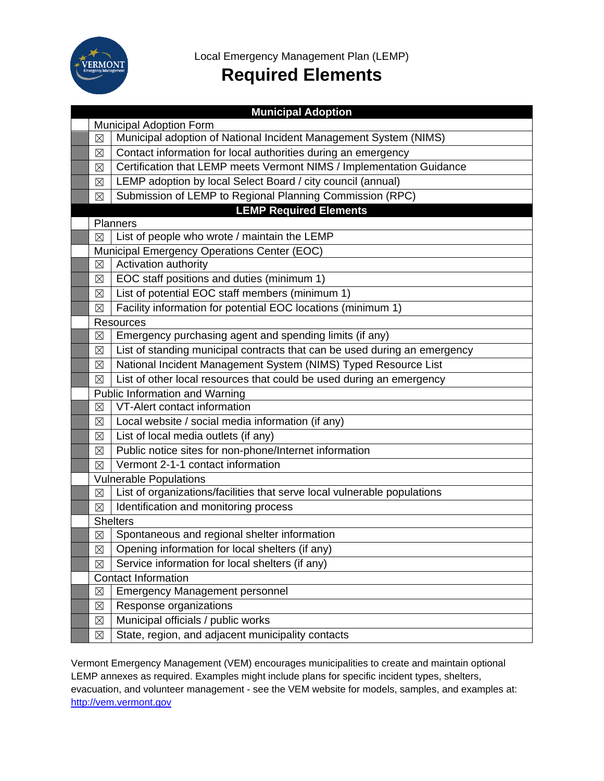

Local Emergency Management Plan (LEMP)

# **Required Elements**

|                                | <b>Municipal Adoption</b>                                                 |  |
|--------------------------------|---------------------------------------------------------------------------|--|
| <b>Municipal Adoption Form</b> |                                                                           |  |
| $\boxtimes$                    | Municipal adoption of National Incident Management System (NIMS)          |  |
| $\boxtimes$                    | Contact information for local authorities during an emergency             |  |
| ⊠                              | Certification that LEMP meets Vermont NIMS / Implementation Guidance      |  |
| ⊠                              | LEMP adoption by local Select Board / city council (annual)               |  |
| ⊠                              | Submission of LEMP to Regional Planning Commission (RPC)                  |  |
|                                | <b>LEMP Required Elements</b>                                             |  |
|                                | Planners                                                                  |  |
| ⊠                              | List of people who wrote / maintain the LEMP                              |  |
|                                | Municipal Emergency Operations Center (EOC)                               |  |
| $\boxtimes$                    | Activation authority                                                      |  |
| ⊠                              | EOC staff positions and duties (minimum 1)                                |  |
| $\boxtimes$                    | List of potential EOC staff members (minimum 1)                           |  |
| $\boxtimes$                    | Facility information for potential EOC locations (minimum 1)              |  |
|                                | <b>Resources</b>                                                          |  |
| $\boxtimes$                    | Emergency purchasing agent and spending limits (if any)                   |  |
| ⊠                              | List of standing municipal contracts that can be used during an emergency |  |
| $\boxtimes$                    | National Incident Management System (NIMS) Typed Resource List            |  |
| $\boxtimes$                    | List of other local resources that could be used during an emergency      |  |
|                                | Public Information and Warning                                            |  |
| $\boxtimes$                    | VT-Alert contact information                                              |  |
| ⊠                              | Local website / social media information (if any)                         |  |
| ⊠                              | List of local media outlets (if any)                                      |  |
| ⊠                              | Public notice sites for non-phone/Internet information                    |  |
| $\boxtimes$                    | Vermont 2-1-1 contact information                                         |  |
|                                | <b>Vulnerable Populations</b>                                             |  |
| $\boxtimes$                    | List of organizations/facilities that serve local vulnerable populations  |  |
| $\boxtimes$                    | Identification and monitoring process                                     |  |
| <b>Shelters</b>                |                                                                           |  |
| $\boxtimes$                    | Spontaneous and regional shelter information                              |  |
| $\boxtimes$                    | Opening information for local shelters (if any)                           |  |
| $\boxtimes$                    | Service information for local shelters (if any)                           |  |
|                                | <b>Contact Information</b>                                                |  |
| ⊠                              | <b>Emergency Management personnel</b>                                     |  |
| $\boxtimes$                    | Response organizations                                                    |  |
| $\boxtimes$                    | Municipal officials / public works                                        |  |
| $\boxtimes$                    | State, region, and adjacent municipality contacts                         |  |

Vermont Emergency Management (VEM) encourages municipalities to create and maintain optional LEMP annexes as required. Examples might include plans for specific incident types, shelters, evacuation, and volunteer management - see the VEM website for models, samples, and examples at: http://vem.vermont.gov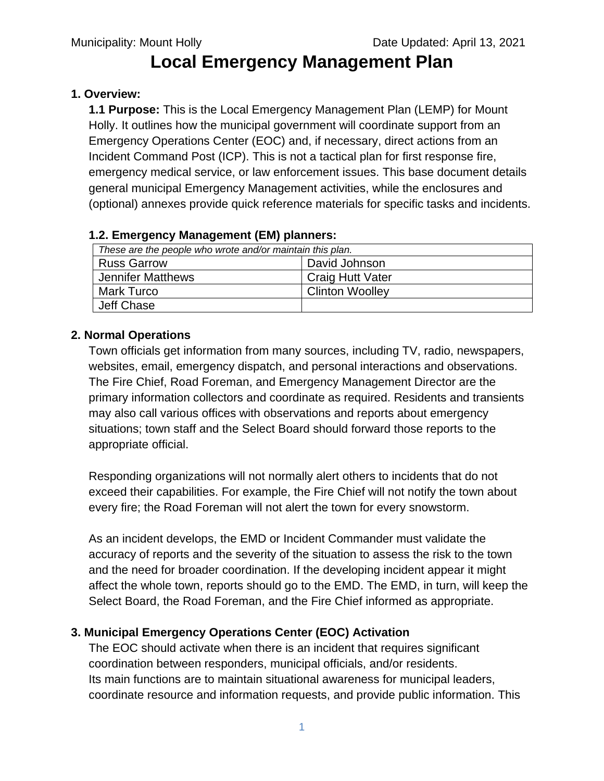# **Local Emergency Management Plan**

## **1. Overview:**

**1.1 Purpose:** This is the Local Emergency Management Plan (LEMP) for Mount Holly. It outlines how the municipal government will coordinate support from an Emergency Operations Center (EOC) and, if necessary, direct actions from an Incident Command Post (ICP). This is not a tactical plan for first response fire, emergency medical service, or law enforcement issues. This base document details general municipal Emergency Management activities, while the enclosures and (optional) annexes provide quick reference materials for specific tasks and incidents.

## **1.2. Emergency Management (EM) planners:**

| These are the people who wrote and/or maintain this plan. |                         |
|-----------------------------------------------------------|-------------------------|
| <b>Russ Garrow</b>                                        | David Johnson           |
| Jennifer Matthews                                         | <b>Craig Hutt Vater</b> |
| Mark Turco                                                | <b>Clinton Woolley</b>  |
| Jeff Chase                                                |                         |

# **2. Normal Operations**

Town officials get information from many sources, including TV, radio, newspapers, websites, email, emergency dispatch, and personal interactions and observations. The Fire Chief, Road Foreman, and Emergency Management Director are the primary information collectors and coordinate as required. Residents and transients may also call various offices with observations and reports about emergency situations; town staff and the Select Board should forward those reports to the appropriate official.

Responding organizations will not normally alert others to incidents that do not exceed their capabilities. For example, the Fire Chief will not notify the town about every fire; the Road Foreman will not alert the town for every snowstorm.

As an incident develops, the EMD or Incident Commander must validate the accuracy of reports and the severity of the situation to assess the risk to the town and the need for broader coordination. If the developing incident appear it might affect the whole town, reports should go to the EMD. The EMD, in turn, will keep the Select Board, the Road Foreman, and the Fire Chief informed as appropriate.

# **3. Municipal Emergency Operations Center (EOC) Activation**

The EOC should activate when there is an incident that requires significant coordination between responders, municipal officials, and/or residents. Its main functions are to maintain situational awareness for municipal leaders, coordinate resource and information requests, and provide public information. This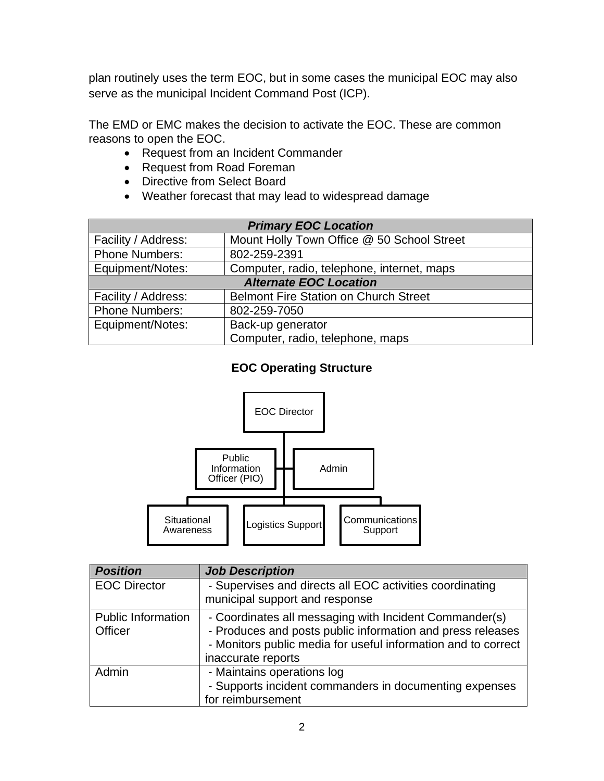plan routinely uses the term EOC, but in some cases the municipal EOC may also serve as the municipal Incident Command Post (ICP).

The EMD or EMC makes the decision to activate the EOC. These are common reasons to open the EOC.

- Request from an Incident Commander
- Request from Road Foreman
- Directive from Select Board
- Weather forecast that may lead to widespread damage

| <b>Primary EOC Location</b>   |                                              |  |
|-------------------------------|----------------------------------------------|--|
| Facility / Address:           | Mount Holly Town Office @ 50 School Street   |  |
| <b>Phone Numbers:</b>         | 802-259-2391                                 |  |
| Equipment/Notes:              | Computer, radio, telephone, internet, maps   |  |
| <b>Alternate EOC Location</b> |                                              |  |
| Facility / Address:           | <b>Belmont Fire Station on Church Street</b> |  |
| <b>Phone Numbers:</b>         | 802-259-7050                                 |  |
| Equipment/Notes:              | Back-up generator                            |  |
|                               | Computer, radio, telephone, maps             |  |

## **EOC Operating Structure**



| <b>Position</b>                      | <b>Job Description</b>                                                                                                                                                                                      |
|--------------------------------------|-------------------------------------------------------------------------------------------------------------------------------------------------------------------------------------------------------------|
| <b>EOC Director</b>                  | - Supervises and directs all EOC activities coordinating<br>municipal support and response                                                                                                                  |
| <b>Public Information</b><br>Officer | - Coordinates all messaging with Incident Commander(s)<br>- Produces and posts public information and press releases<br>- Monitors public media for useful information and to correct<br>inaccurate reports |
| Admin                                | - Maintains operations log<br>- Supports incident commanders in documenting expenses<br>for reimbursement                                                                                                   |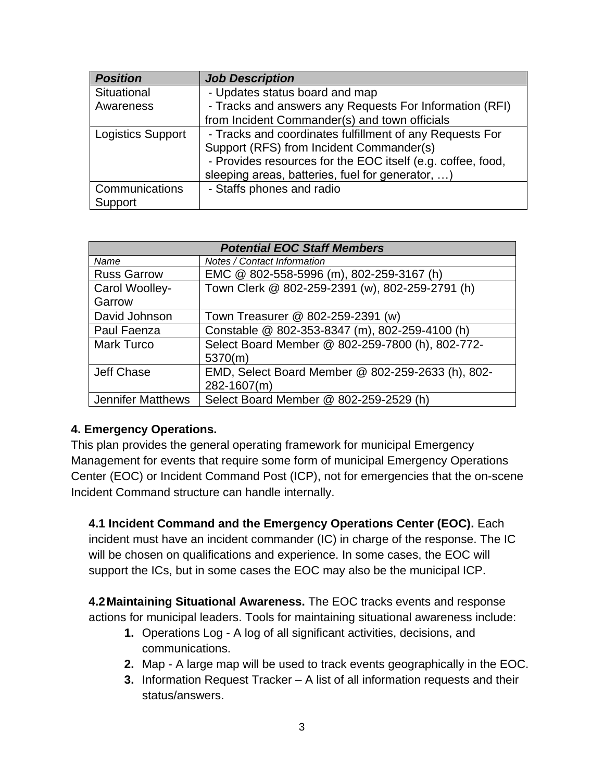| <b>Position</b>          | <b>Job Description</b>                                      |
|--------------------------|-------------------------------------------------------------|
| Situational              | - Updates status board and map                              |
| Awareness                | - Tracks and answers any Requests For Information (RFI)     |
|                          | from Incident Commander(s) and town officials               |
| <b>Logistics Support</b> | - Tracks and coordinates fulfillment of any Requests For    |
|                          | Support (RFS) from Incident Commander(s)                    |
|                          | - Provides resources for the EOC itself (e.g. coffee, food, |
|                          | sleeping areas, batteries, fuel for generator, )            |
| Communications           | - Staffs phones and radio                                   |
| Support                  |                                                             |

| <b>Potential EOC Staff Members</b> |                                                   |  |
|------------------------------------|---------------------------------------------------|--|
| Name                               | <b>Notes / Contact Information</b>                |  |
| <b>Russ Garrow</b>                 | EMC @ 802-558-5996 (m), 802-259-3167 (h)          |  |
| Carol Woolley-                     | Town Clerk @ 802-259-2391 (w), 802-259-2791 (h)   |  |
| Garrow                             |                                                   |  |
| David Johnson                      | Town Treasurer @ 802-259-2391 (w)                 |  |
| Paul Faenza                        | Constable @ 802-353-8347 (m), 802-259-4100 (h)    |  |
| Mark Turco                         | Select Board Member @ 802-259-7800 (h), 802-772-  |  |
|                                    | 5370(m)                                           |  |
| Jeff Chase                         | EMD, Select Board Member @ 802-259-2633 (h), 802- |  |
|                                    | 282-1607(m)                                       |  |
| <b>Jennifer Matthews</b>           | Select Board Member @ 802-259-2529 (h)            |  |

### **4. Emergency Operations.**

This plan provides the general operating framework for municipal Emergency Management for events that require some form of municipal Emergency Operations Center (EOC) or Incident Command Post (ICP), not for emergencies that the on-scene Incident Command structure can handle internally.

**4.1 Incident Command and the Emergency Operations Center (EOC).** Each incident must have an incident commander (IC) in charge of the response. The IC will be chosen on qualifications and experience. In some cases, the EOC will support the ICs, but in some cases the EOC may also be the municipal ICP.

**4.2Maintaining Situational Awareness.** The EOC tracks events and response actions for municipal leaders. Tools for maintaining situational awareness include:

- **1.** Operations Log A log of all significant activities, decisions, and communications.
- **2.** Map A large map will be used to track events geographically in the EOC.
- **3.** Information Request Tracker A list of all information requests and their status/answers.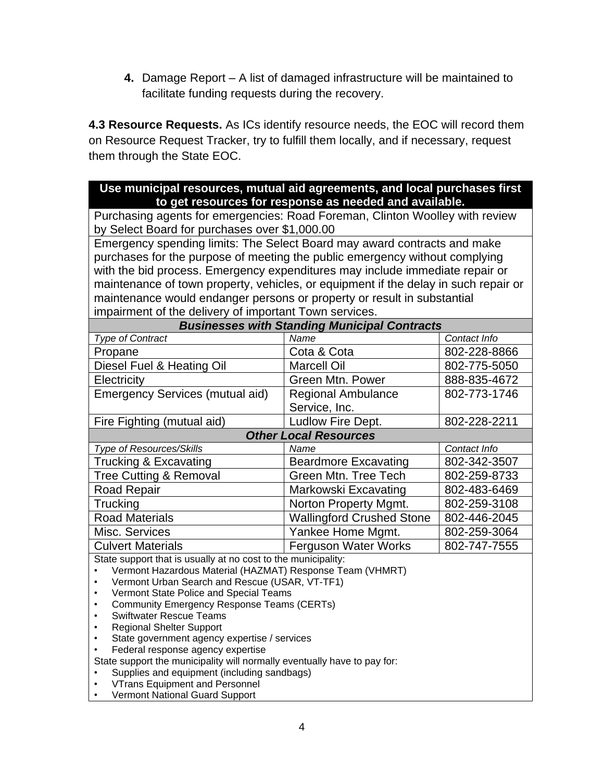**4.** Damage Report – A list of damaged infrastructure will be maintained to facilitate funding requests during the recovery.

**4.3 Resource Requests.** As ICs identify resource needs, the EOC will record them on Resource Request Tracker, try to fulfill them locally, and if necessary, request them through the State EOC.

#### **Use municipal resources, mutual aid agreements, and local purchases first to get resources for response as needed and available.**

Purchasing agents for emergencies: Road Foreman, Clinton Woolley with review by Select Board for purchases over \$1,000.00

Emergency spending limits: The Select Board may award contracts and make purchases for the purpose of meeting the public emergency without complying with the bid process. Emergency expenditures may include immediate repair or maintenance of town property, vehicles, or equipment if the delay in such repair or maintenance would endanger persons or property or result in substantial impairment of the delivery of important Town services.

| <b>Businesses with Standing Municipal Contracts</b> |                                  |              |  |
|-----------------------------------------------------|----------------------------------|--------------|--|
| <b>Type of Contract</b>                             | Name                             | Contact Info |  |
| Propane                                             | Cota & Cota                      | 802-228-8866 |  |
| Diesel Fuel & Heating Oil                           | <b>Marcell Oil</b>               | 802-775-5050 |  |
| Electricity                                         | <b>Green Mtn. Power</b>          | 888-835-4672 |  |
| <b>Emergency Services (mutual aid)</b>              | <b>Regional Ambulance</b>        | 802-773-1746 |  |
|                                                     | Service, Inc.                    |              |  |
| Fire Fighting (mutual aid)                          | Ludlow Fire Dept.                | 802-228-2211 |  |
| <b>Other Local Resources</b>                        |                                  |              |  |
| Type of Resources/Skills                            | Name                             | Contact Info |  |
| Trucking & Excavating                               | <b>Beardmore Excavating</b>      | 802-342-3507 |  |
| <b>Tree Cutting &amp; Removal</b>                   | Green Mtn. Tree Tech             | 802-259-8733 |  |
| <b>Road Repair</b>                                  | Markowski Excavating             | 802-483-6469 |  |
| Trucking                                            | Norton Property Mgmt.            | 802-259-3108 |  |
| <b>Road Materials</b>                               | <b>Wallingford Crushed Stone</b> | 802-446-2045 |  |
| Misc. Services                                      | Yankee Home Mgmt.                | 802-259-3064 |  |
| <b>Culvert Materials</b>                            | <b>Ferguson Water Works</b>      | 802-747-7555 |  |

State support that is usually at no cost to the municipality:

- Vermont Hazardous Material (HAZMAT) Response Team (VHMRT)
- Vermont Urban Search and Rescue (USAR, VT-TF1)
- Vermont State Police and Special Teams
- Community Emergency Response Teams (CERTs)
- Swiftwater Rescue Teams
- Regional Shelter Support
- State government agency expertise / services
- Federal response agency expertise

State support the municipality will normally eventually have to pay for:

- Supplies and equipment (including sandbags)
- VTrans Equipment and Personnel
- Vermont National Guard Support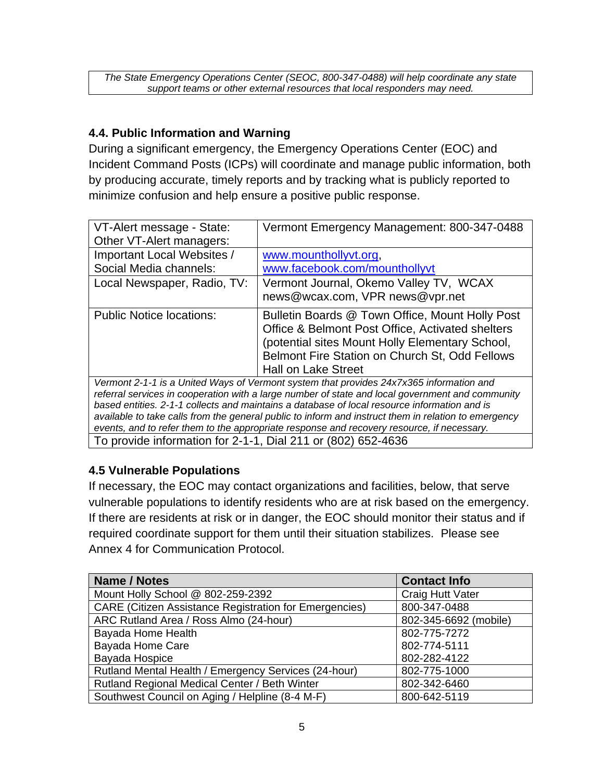*The State Emergency Operations Center (SEOC, 800-347-0488) will help coordinate any state support teams or other external resources that local responders may need.*

## **4.4. Public Information and Warning**

During a significant emergency, the Emergency Operations Center (EOC) and Incident Command Posts (ICPs) will coordinate and manage public information, both by producing accurate, timely reports and by tracking what is publicly reported to minimize confusion and help ensure a positive public response.

| VT-Alert message - State:                                                               | Vermont Emergency Management: 800-347-0488       |
|-----------------------------------------------------------------------------------------|--------------------------------------------------|
| Other VT-Alert managers:                                                                |                                                  |
| Important Local Websites /                                                              | www.mounthollyvt.org,                            |
| Social Media channels:                                                                  | www.facebook.com/mounthollyvt                    |
| Local Newspaper, Radio, TV:                                                             | Vermont Journal, Okemo Valley TV, WCAX           |
|                                                                                         | news@wcax.com, VPR news@vpr.net                  |
| <b>Public Notice locations:</b>                                                         | Bulletin Boards @ Town Office, Mount Holly Post  |
|                                                                                         | Office & Belmont Post Office, Activated shelters |
|                                                                                         | (potential sites Mount Holly Elementary School,  |
|                                                                                         | Belmont Fire Station on Church St, Odd Fellows   |
|                                                                                         | <b>Hall on Lake Street</b>                       |
| Vermont 2-1-1 is a United Ways of Vermont system that provides 24x7x365 information and |                                                  |

*Vermont 2-1-1 is a United Ways of Vermont system that provides 24x7x365 information and referral services in cooperation with a large number of state and local government and community based entities. 2-1-1 collects and maintains a database of local resource information and is available to take calls from the general public to inform and instruct them in relation to emergency events, and to refer them to the appropriate response and recovery resource, if necessary.*

To provide information for 2-1-1, Dial 211 or (802) 652-4636

## **4.5 Vulnerable Populations**

If necessary, the EOC may contact organizations and facilities, below, that serve vulnerable populations to identify residents who are at risk based on the emergency. If there are residents at risk or in danger, the EOC should monitor their status and if required coordinate support for them until their situation stabilizes. Please see Annex 4 for Communication Protocol.

| <b>Name / Notes</b>                                           | <b>Contact Info</b>   |
|---------------------------------------------------------------|-----------------------|
| Mount Holly School @ 802-259-2392                             | Craig Hutt Vater      |
| <b>CARE (Citizen Assistance Registration for Emergencies)</b> | 800-347-0488          |
| ARC Rutland Area / Ross Almo (24-hour)                        | 802-345-6692 (mobile) |
| Bayada Home Health                                            | 802-775-7272          |
| Bayada Home Care                                              | 802-774-5111          |
| Bayada Hospice                                                | 802-282-4122          |
| Rutland Mental Health / Emergency Services (24-hour)          | 802-775-1000          |
| Rutland Regional Medical Center / Beth Winter                 | 802-342-6460          |
| Southwest Council on Aging / Helpline (8-4 M-F)               | 800-642-5119          |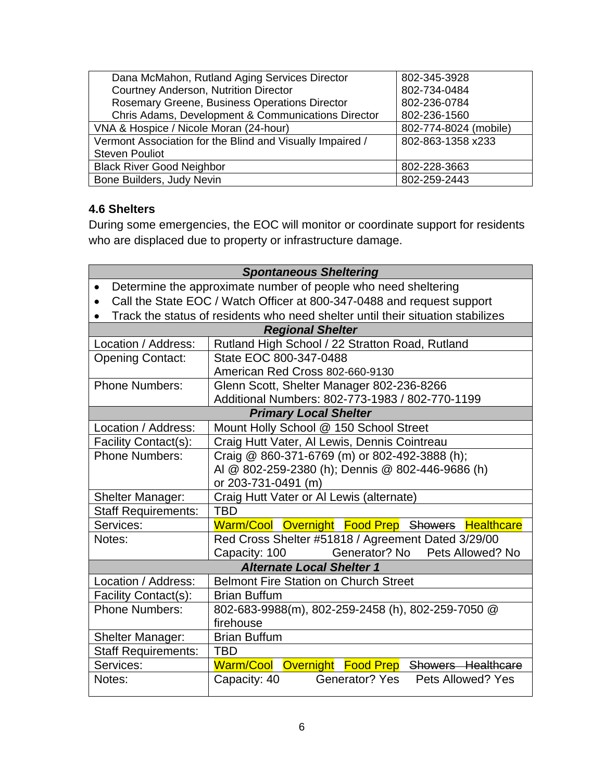| Dana McMahon, Rutland Aging Services Director             | 802-345-3928          |
|-----------------------------------------------------------|-----------------------|
| Courtney Anderson, Nutrition Director                     | 802-734-0484          |
| Rosemary Greene, Business Operations Director             | 802-236-0784          |
| Chris Adams, Development & Communications Director        | 802-236-1560          |
| VNA & Hospice / Nicole Moran (24-hour)                    | 802-774-8024 (mobile) |
| Vermont Association for the Blind and Visually Impaired / | 802-863-1358 x233     |
| <b>Steven Pouliot</b>                                     |                       |
| <b>Black River Good Neighbor</b>                          | 802-228-3663          |
| Bone Builders, Judy Nevin                                 | 802-259-2443          |

## **4.6 Shelters**

During some emergencies, the EOC will monitor or coordinate support for residents who are displaced due to property or infrastructure damage.

| <b>Spontaneous Sheltering</b>                                               |                                                                                 |  |
|-----------------------------------------------------------------------------|---------------------------------------------------------------------------------|--|
| Determine the approximate number of people who need sheltering<br>$\bullet$ |                                                                                 |  |
| $\bullet$                                                                   | Call the State EOC / Watch Officer at 800-347-0488 and request support          |  |
| $\bullet$                                                                   | Track the status of residents who need shelter until their situation stabilizes |  |
|                                                                             | <b>Regional Shelter</b>                                                         |  |
| Location / Address:                                                         | Rutland High School / 22 Stratton Road, Rutland                                 |  |
| <b>Opening Contact:</b>                                                     | State EOC 800-347-0488                                                          |  |
|                                                                             | American Red Cross 802-660-9130                                                 |  |
| <b>Phone Numbers:</b>                                                       | Glenn Scott, Shelter Manager 802-236-8266                                       |  |
|                                                                             | Additional Numbers: 802-773-1983 / 802-770-1199                                 |  |
|                                                                             | <b>Primary Local Shelter</b>                                                    |  |
| Location / Address:                                                         | Mount Holly School @ 150 School Street                                          |  |
| Facility Contact(s):                                                        | Craig Hutt Vater, Al Lewis, Dennis Cointreau                                    |  |
| <b>Phone Numbers:</b>                                                       | Craig @ 860-371-6769 (m) or 802-492-3888 (h);                                   |  |
|                                                                             | AI @ 802-259-2380 (h); Dennis @ 802-446-9686 (h)                                |  |
|                                                                             | or 203-731-0491 (m)                                                             |  |
| <b>Shelter Manager:</b>                                                     | Craig Hutt Vater or Al Lewis (alternate)                                        |  |
| <b>Staff Requirements:</b>                                                  | <b>TBD</b>                                                                      |  |
| Services:                                                                   | Warm/Cool Overnight Food Prep Showers Healthcare                                |  |
| Notes:                                                                      | Red Cross Shelter #51818 / Agreement Dated 3/29/00                              |  |
|                                                                             | Generator? No Pets Allowed? No<br>Capacity: 100                                 |  |
| <b>Alternate Local Shelter 1</b>                                            |                                                                                 |  |
| Location / Address:                                                         | <b>Belmont Fire Station on Church Street</b>                                    |  |
| Facility Contact(s):                                                        | <b>Brian Buffum</b>                                                             |  |
| <b>Phone Numbers:</b>                                                       | 802-683-9988(m), 802-259-2458 (h), 802-259-7050 @                               |  |
|                                                                             | firehouse                                                                       |  |
| Shelter Manager:                                                            | <b>Brian Buffum</b>                                                             |  |
| <b>Staff Requirements:</b>                                                  | <b>TBD</b>                                                                      |  |
| Services:                                                                   | Warm/Cool Overnight Food Prep Showers Healthcare                                |  |
| Notes:                                                                      | Generator? Yes Pets Allowed? Yes<br>Capacity: 40                                |  |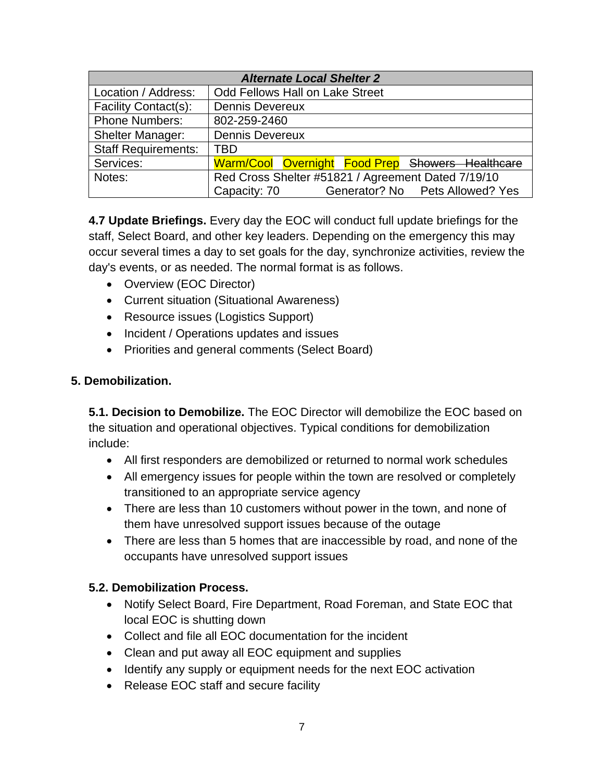| <b>Alternate Local Shelter 2</b> |                                                    |  |  |  |  |
|----------------------------------|----------------------------------------------------|--|--|--|--|
| Location / Address:              | <b>Odd Fellows Hall on Lake Street</b>             |  |  |  |  |
| Facility Contact(s):             | <b>Dennis Devereux</b>                             |  |  |  |  |
| <b>Phone Numbers:</b>            | 802-259-2460                                       |  |  |  |  |
| <b>Shelter Manager:</b>          | <b>Dennis Devereux</b>                             |  |  |  |  |
| <b>Staff Requirements:</b>       | <b>TBD</b>                                         |  |  |  |  |
| Services:                        | Warm/Cool Overnight Food Prep Showers Healthcare   |  |  |  |  |
| Notes:                           | Red Cross Shelter #51821 / Agreement Dated 7/19/10 |  |  |  |  |
|                                  | Generator? No Pets Allowed? Yes<br>Capacity: 70    |  |  |  |  |

**4.7 Update Briefings.** Every day the EOC will conduct full update briefings for the staff, Select Board, and other key leaders. Depending on the emergency this may occur several times a day to set goals for the day, synchronize activities, review the day's events, or as needed. The normal format is as follows.

- Overview (EOC Director)
- Current situation (Situational Awareness)
- Resource issues (Logistics Support)
- Incident / Operations updates and issues
- Priorities and general comments (Select Board)

### **5. Demobilization.**

**5.1. Decision to Demobilize.** The EOC Director will demobilize the EOC based on the situation and operational objectives. Typical conditions for demobilization include:

- All first responders are demobilized or returned to normal work schedules
- All emergency issues for people within the town are resolved or completely transitioned to an appropriate service agency
- There are less than 10 customers without power in the town, and none of them have unresolved support issues because of the outage
- There are less than 5 homes that are inaccessible by road, and none of the occupants have unresolved support issues

### **5.2. Demobilization Process.**

- Notify Select Board, Fire Department, Road Foreman, and State EOC that local EOC is shutting down
- Collect and file all EOC documentation for the incident
- Clean and put away all EOC equipment and supplies
- Identify any supply or equipment needs for the next EOC activation
- Release EOC staff and secure facility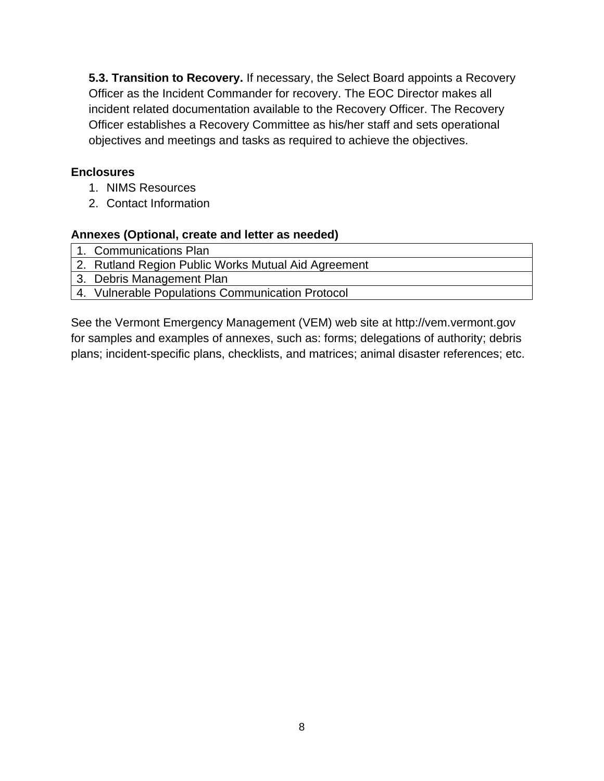**5.3. Transition to Recovery.** If necessary, the Select Board appoints a Recovery Officer as the Incident Commander for recovery. The EOC Director makes all incident related documentation available to the Recovery Officer. The Recovery Officer establishes a Recovery Committee as his/her staff and sets operational objectives and meetings and tasks as required to achieve the objectives.

## **Enclosures**

- 1. NIMS Resources
- 2. Contact Information

### **Annexes (Optional, create and letter as needed)**

1. Communications Plan

2. Rutland Region Public Works Mutual Aid Agreement

- 3. Debris Management Plan
- 4. Vulnerable Populations Communication Protocol

See the Vermont Emergency Management (VEM) web site at http://vem.vermont.gov for samples and examples of annexes, such as: forms; delegations of authority; debris plans; incident-specific plans, checklists, and matrices; animal disaster references; etc.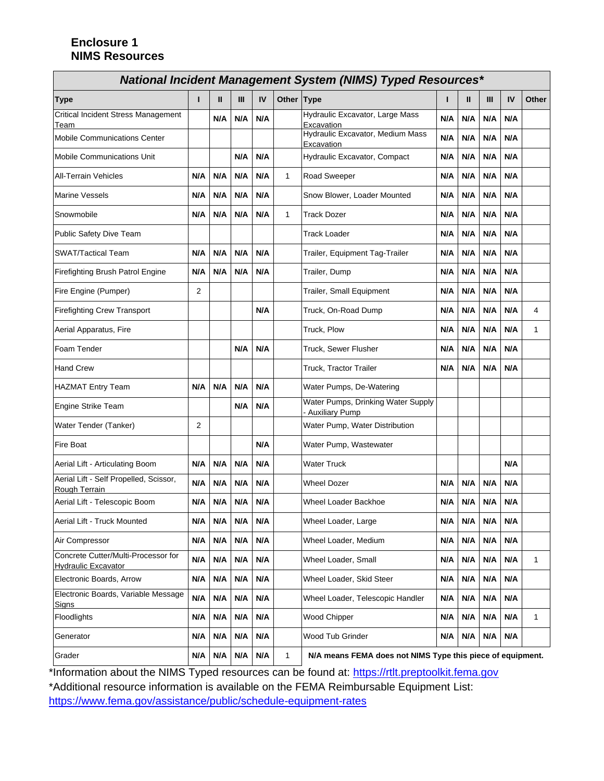#### **Enclosure 1 NIMS Resources**

| <b>National Incident Management System (NIMS) Typed Resources*</b> |     |     |     |     |              |                                                             |     |     |     |     |       |
|--------------------------------------------------------------------|-----|-----|-----|-----|--------------|-------------------------------------------------------------|-----|-----|-----|-----|-------|
| <b>Type</b>                                                        | п   | Ш   | Ш   | IV  | Other Type   |                                                             | п   | Ш   | Ш   | IV  | Other |
| <b>Critical Incident Stress Management</b><br>Team                 |     | N/A | N/A | N/A |              | Hydraulic Excavator, Large Mass<br>Excavation               | N/A | N/A | N/A | N/A |       |
| <b>Mobile Communications Center</b>                                |     |     |     |     |              | Hydraulic Excavator, Medium Mass<br>Excavation              | N/A | N/A | N/A | N/A |       |
| <b>Mobile Communications Unit</b>                                  |     |     | N/A | N/A |              | Hydraulic Excavator, Compact                                | N/A | N/A | N/A | N/A |       |
| <b>All-Terrain Vehicles</b>                                        | N/A | N/A | N/A | N/A | $\mathbf{1}$ | <b>Road Sweeper</b>                                         | N/A | N/A | N/A | N/A |       |
| <b>Marine Vessels</b>                                              | N/A | N/A | N/A | N/A |              | Snow Blower, Loader Mounted                                 | N/A | N/A | N/A | N/A |       |
| Snowmobile                                                         | N/A | N/A | N/A | N/A | $\mathbf{1}$ | Track Dozer                                                 | N/A | N/A | N/A | N/A |       |
| Public Safety Dive Team                                            |     |     |     |     |              | <b>Track Loader</b>                                         | N/A | N/A | N/A | N/A |       |
| <b>SWAT/Tactical Team</b>                                          | N/A | N/A | N/A | N/A |              | Trailer, Equipment Tag-Trailer                              | N/A | N/A | N/A | N/A |       |
| Firefighting Brush Patrol Engine                                   | N/A | N/A | N/A | N/A |              | Trailer, Dump                                               | N/A | N/A | N/A | N/A |       |
| Fire Engine (Pumper)                                               | 2   |     |     |     |              | <b>Trailer, Small Equipment</b>                             | N/A | N/A | N/A | N/A |       |
| <b>Firefighting Crew Transport</b>                                 |     |     |     | N/A |              | Truck, On-Road Dump                                         | N/A | N/A | N/A | N/A | 4     |
| Aerial Apparatus, Fire                                             |     |     |     |     |              | Truck, Plow                                                 | N/A | N/A | N/A | N/A | 1     |
| Foam Tender                                                        |     |     | N/A | N/A |              | Truck, Sewer Flusher                                        | N/A | N/A | N/A | N/A |       |
| <b>Hand Crew</b>                                                   |     |     |     |     |              | Truck, Tractor Trailer<br>N/A<br>N/A<br>N/A<br>N/A          |     |     |     |     |       |
| <b>HAZMAT Entry Team</b>                                           | N/A | N/A | N/A | N/A |              | Water Pumps, De-Watering                                    |     |     |     |     |       |
| <b>Engine Strike Team</b>                                          |     |     | N/A | N/A |              | Water Pumps, Drinking Water Supply<br><b>Auxiliary Pump</b> |     |     |     |     |       |
| Water Tender (Tanker)                                              | 2   |     |     |     |              | Water Pump, Water Distribution                              |     |     |     |     |       |
| Fire Boat                                                          |     |     |     | N/A |              | Water Pump, Wastewater                                      |     |     |     |     |       |
| Aerial Lift - Articulating Boom                                    | N/A | N/A | N/A | N/A |              | <b>Water Truck</b>                                          |     |     |     | N/A |       |
| Aerial Lift - Self Propelled, Scissor,<br>Rough Terrain            | N/A | N/A | N/A | N/A |              | <b>Wheel Dozer</b>                                          | N/A | N/A | N/A | N/A |       |
| Aerial Lift - Telescopic Boom                                      | N/A | N/A | N/A | N/A |              | Wheel Loader Backhoe                                        | N/A | N/A | N/A | N/A |       |
| Aerial Lift - Truck Mounted                                        | N/A | N/A | N/A | N/A |              | Wheel Loader, Large                                         | N/A | N/A | N/A | N/A |       |
| Air Compressor                                                     | N/A | N/A | N/A | N/A |              | Wheel Loader, Medium                                        | N/A | N/A | N/A | N/A |       |
| Concrete Cutter/Multi-Processor for<br><b>Hydraulic Excavator</b>  | N/A | N/A | N/A | N/A |              | N/A<br>N/A<br>N/A<br>Wheel Loader, Small<br>N/A             |     | 1   |     |     |       |
| Electronic Boards, Arrow                                           | N/A | N/A | N/A | N/A |              | Wheel Loader, Skid Steer<br>N/A<br>N/A<br>N/A<br>N/A        |     |     |     |     |       |
| Electronic Boards, Variable Message<br>Signs                       | N/A | N/A | N/A | N/A |              | Wheel Loader, Telescopic Handler                            | N/A | N/A | N/A | N/A |       |
| Floodlights                                                        | N/A | N/A | N/A | N/A |              | <b>Wood Chipper</b>                                         | N/A | N/A | N/A | N/A | 1     |
| Generator                                                          | N/A | N/A | N/A | N/A |              | Wood Tub Grinder<br>N/A<br>N/A<br>N/A<br>N/A                |     |     |     |     |       |
| Grader                                                             | N/A | N/A | N/A | N/A |              | N/A means FEMA does not NIMS Type this piece of equipment.  |     |     |     |     |       |

\*Information about the NIMS Typed resources can be found at: https://rtlt.preptoolkit.fema.gov

\*Additional resource information is available on the FEMA Reimbursable Equipment List: https://www.fema.gov/assistance/public/schedule-equipment-rates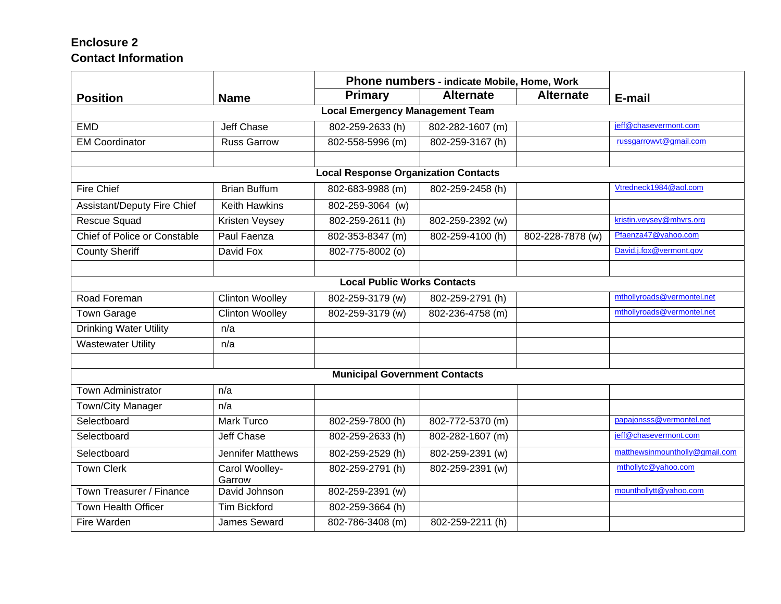## **Enclosure 2 Contact Information**

|                                        |                          | Phone numbers - indicate Mobile, Home, Work |                  |                  |                                |  |  |
|----------------------------------------|--------------------------|---------------------------------------------|------------------|------------------|--------------------------------|--|--|
| <b>Position</b>                        | <b>Name</b>              | Primary                                     | <b>Alternate</b> | <b>Alternate</b> | E-mail                         |  |  |
| <b>Local Emergency Management Team</b> |                          |                                             |                  |                  |                                |  |  |
| <b>EMD</b>                             | <b>Jeff Chase</b>        | 802-259-2633 (h)                            | 802-282-1607 (m) |                  | jeff@chasevermont.com          |  |  |
| <b>EM Coordinator</b>                  | <b>Russ Garrow</b>       | 802-558-5996 (m)                            | 802-259-3167 (h) |                  | russgarrowvt@gmail.com         |  |  |
|                                        |                          |                                             |                  |                  |                                |  |  |
|                                        |                          | <b>Local Response Organization Contacts</b> |                  |                  |                                |  |  |
| <b>Fire Chief</b>                      | <b>Brian Buffum</b>      | 802-683-9988 (m)                            | 802-259-2458 (h) |                  | Vtredneck1984@aol.com          |  |  |
| <b>Assistant/Deputy Fire Chief</b>     | <b>Keith Hawkins</b>     | 802-259-3064 (w)                            |                  |                  |                                |  |  |
| Rescue Squad                           | Kristen Veysey           | 802-259-2611 (h)                            | 802-259-2392 (w) |                  | kristin.veysey@mhvrs.org       |  |  |
| Chief of Police or Constable           | Paul Faenza              | 802-353-8347 (m)                            | 802-259-4100 (h) | 802-228-7878 (w) | Pfaenza47@yahoo.com            |  |  |
| <b>County Sheriff</b>                  | David Fox                | 802-775-8002 (o)                            |                  |                  | David.j.fox@vermont.gov        |  |  |
|                                        |                          |                                             |                  |                  |                                |  |  |
|                                        |                          | <b>Local Public Works Contacts</b>          |                  |                  |                                |  |  |
| Road Foreman                           | <b>Clinton Woolley</b>   | 802-259-3179 (w)                            | 802-259-2791 (h) |                  | mthollyroads@vermontel.net     |  |  |
| <b>Town Garage</b>                     | <b>Clinton Woolley</b>   | 802-259-3179 (w)                            | 802-236-4758 (m) |                  | mthollyroads@vermontel.net     |  |  |
| <b>Drinking Water Utility</b>          | n/a                      |                                             |                  |                  |                                |  |  |
| <b>Wastewater Utility</b>              | n/a                      |                                             |                  |                  |                                |  |  |
|                                        |                          |                                             |                  |                  |                                |  |  |
|                                        |                          | <b>Municipal Government Contacts</b>        |                  |                  |                                |  |  |
| <b>Town Administrator</b>              | n/a                      |                                             |                  |                  |                                |  |  |
| Town/City Manager                      | n/a                      |                                             |                  |                  |                                |  |  |
| Selectboard                            | <b>Mark Turco</b>        | 802-259-7800 (h)                            | 802-772-5370 (m) |                  | papajonsss@vermontel.net       |  |  |
| Selectboard                            | Jeff Chase               | 802-259-2633 (h)                            | 802-282-1607 (m) |                  | jeff@chasevermont.com          |  |  |
| Selectboard                            | Jennifer Matthews        | 802-259-2529 (h)                            | 802-259-2391 (w) |                  | matthewsinmountholly@gmail.com |  |  |
| <b>Town Clerk</b>                      | Carol Woolley-<br>Garrow | 802-259-2791 (h)                            | 802-259-2391 (w) |                  | mthollytc@yahoo.com            |  |  |
| Town Treasurer / Finance               | David Johnson            | 802-259-2391 (w)                            |                  |                  | mounthollytt@yahoo.com         |  |  |
| <b>Town Health Officer</b>             | <b>Tim Bickford</b>      | 802-259-3664 (h)                            |                  |                  |                                |  |  |
| Fire Warden                            | <b>James Seward</b>      | 802-786-3408 (m)                            | 802-259-2211 (h) |                  |                                |  |  |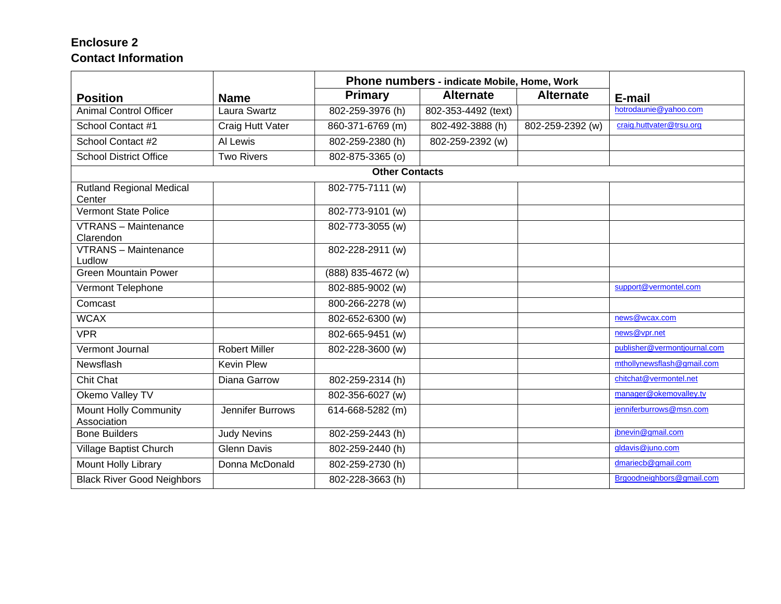## **Enclosure 2 Contact Information**

|                                             |                      | Phone numbers - indicate Mobile, Home, Work |                     |                  |                              |
|---------------------------------------------|----------------------|---------------------------------------------|---------------------|------------------|------------------------------|
| <b>Position</b>                             | <b>Name</b>          | <b>Primary</b>                              | <b>Alternate</b>    | <b>Alternate</b> | E-mail                       |
| Animal Control Officer                      | Laura Swartz         | 802-259-3976 (h)                            | 802-353-4492 (text) |                  | hotrodaunie@vahoo.com        |
| School Contact #1                           | Craig Hutt Vater     | 860-371-6769 (m)                            | 802-492-3888 (h)    | 802-259-2392 (w) | craig.huttvater@trsu.org     |
| School Contact #2                           | Al Lewis             | 802-259-2380 (h)                            | 802-259-2392 (w)    |                  |                              |
| <b>School District Office</b>               | <b>Two Rivers</b>    | 802-875-3365 (o)                            |                     |                  |                              |
|                                             |                      | <b>Other Contacts</b>                       |                     |                  |                              |
| <b>Rutland Regional Medical</b><br>Center   |                      | 802-775-7111 (w)                            |                     |                  |                              |
| <b>Vermont State Police</b>                 |                      | 802-773-9101 (w)                            |                     |                  |                              |
| <b>VTRANS</b> - Maintenance<br>Clarendon    |                      | 802-773-3055 (w)                            |                     |                  |                              |
| <b>VTRANS - Maintenance</b><br>Ludlow       |                      | 802-228-2911 (w)                            |                     |                  |                              |
| <b>Green Mountain Power</b>                 |                      | (888) 835-4672 (w)                          |                     |                  |                              |
| Vermont Telephone                           |                      | 802-885-9002 (w)                            |                     |                  | support@vermontel.com        |
| Comcast                                     |                      | 800-266-2278 (w)                            |                     |                  |                              |
| <b>WCAX</b>                                 |                      | 802-652-6300 (w)                            |                     |                  | news@wcax.com                |
| <b>VPR</b>                                  |                      | 802-665-9451 (w)                            |                     |                  | news@vpr.net                 |
| Vermont Journal                             | <b>Robert Miller</b> | 802-228-3600 (w)                            |                     |                  | publisher@vermontjournal.com |
| Newsflash                                   | <b>Kevin Plew</b>    |                                             |                     |                  | mthollynewsflash@gmail.com   |
| <b>Chit Chat</b>                            | Diana Garrow         | 802-259-2314 (h)                            |                     |                  | chitchat@vermontel.net       |
| Okemo Valley TV                             |                      | 802-356-6027 (w)                            |                     |                  | manager@okemovalley.tv       |
| <b>Mount Holly Community</b><br>Association | Jennifer Burrows     | 614-668-5282 (m)                            |                     |                  | jenniferburrows@msn.com      |
| <b>Bone Builders</b>                        | <b>Judy Nevins</b>   | 802-259-2443 (h)                            |                     |                  | jbnevin@gmail.com            |
| Village Baptist Church                      | <b>Glenn Davis</b>   | 802-259-2440 (h)                            |                     |                  | gldavis@juno.com             |
| <b>Mount Holly Library</b>                  | Donna McDonald       | 802-259-2730 (h)                            |                     |                  | dmariecb@gmail.com           |
| <b>Black River Good Neighbors</b>           |                      | 802-228-3663 (h)                            |                     |                  | Brgoodneighbors@gmail.com    |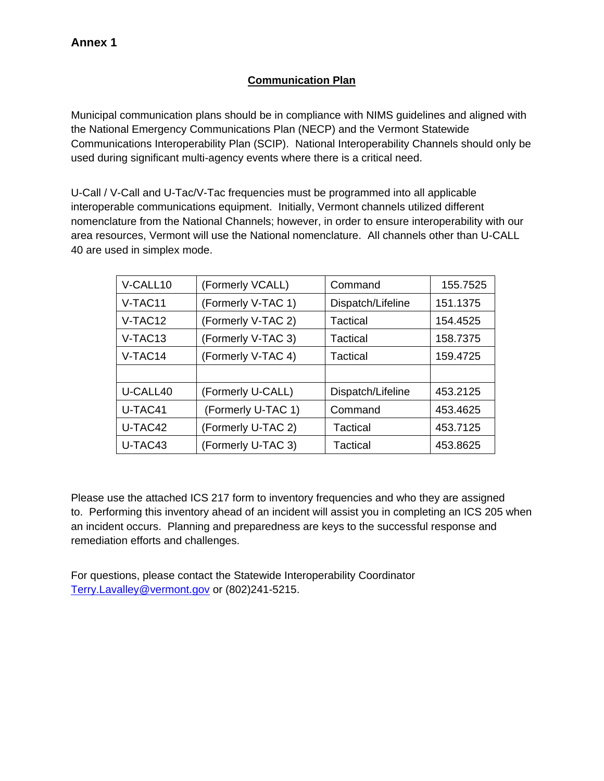## **Communication Plan**

Municipal communication plans should be in compliance with NIMS guidelines and aligned with the National Emergency Communications Plan (NECP) and the Vermont Statewide Communications Interoperability Plan (SCIP). National Interoperability Channels should only be used during significant multi-agency events where there is a critical need.

U-Call / V-Call and U-Tac/V-Tac frequencies must be programmed into all applicable interoperable communications equipment. Initially, Vermont channels utilized different nomenclature from the National Channels; however, in order to ensure interoperability with our area resources, Vermont will use the National nomenclature. All channels other than U-CALL 40 are used in simplex mode.

| V-CALL10 | (Formerly VCALL)   | Command           | 155.7525 |
|----------|--------------------|-------------------|----------|
| V-TAC11  | (Formerly V-TAC 1) | Dispatch/Lifeline | 151.1375 |
| V-TAC12  | (Formerly V-TAC 2) | Tactical          | 154.4525 |
| V-TAC13  | (Formerly V-TAC 3) | Tactical          | 158.7375 |
| V-TAC14  | (Formerly V-TAC 4) | Tactical          | 159.4725 |
|          |                    |                   |          |
| U-CALL40 | (Formerly U-CALL)  | Dispatch/Lifeline | 453.2125 |
| U-TAC41  | (Formerly U-TAC 1) | Command           | 453.4625 |
| U-TAC42  | (Formerly U-TAC 2) | Tactical          | 453.7125 |
| U-TAC43  | (Formerly U-TAC 3) | Tactical          | 453.8625 |

Please use the attached ICS 217 form to inventory frequencies and who they are assigned to. Performing this inventory ahead of an incident will assist you in completing an ICS 205 when an incident occurs. Planning and preparedness are keys to the successful response and remediation efforts and challenges.

For questions, please contact the Statewide Interoperability Coordinator Terry.Lavalley@vermont.gov or (802)241-5215.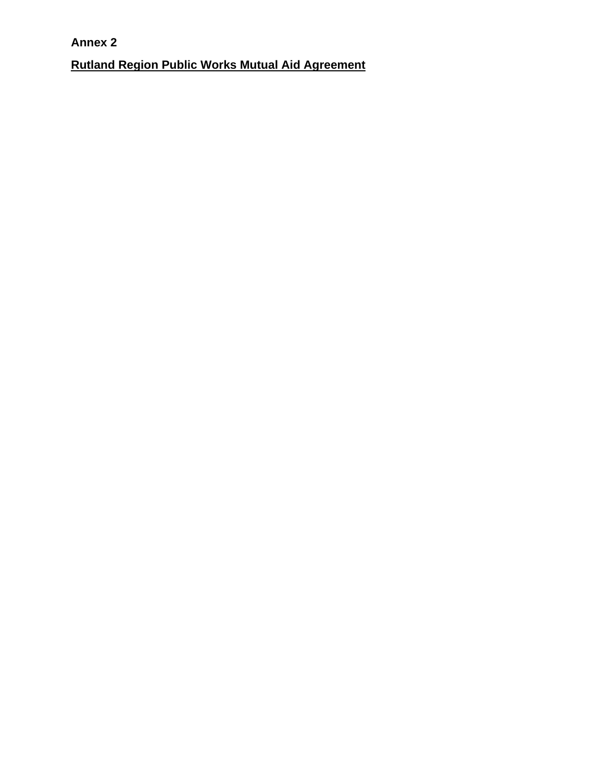**Annex 2 Rutland Region Public Works Mutual Aid Agreement**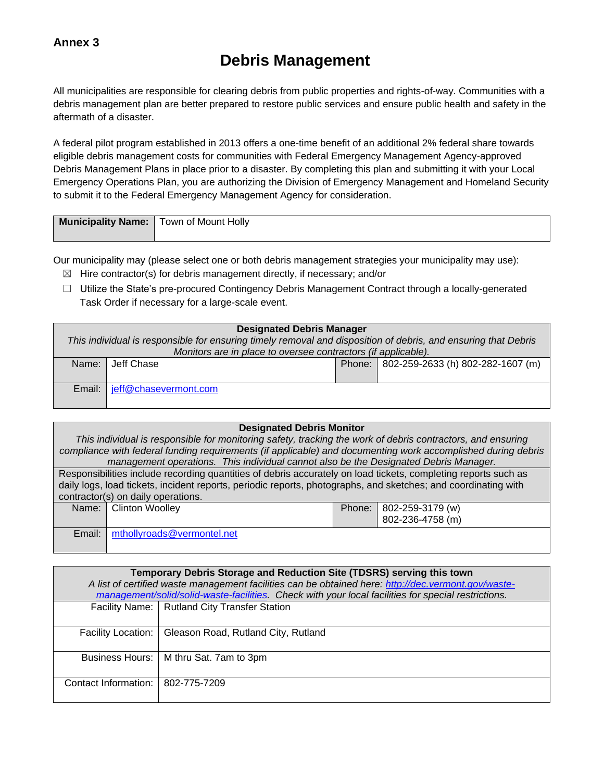### **Annex 3**

# **Debris Management**

All municipalities are responsible for clearing debris from public properties and rights-of-way. Communities with a debris management plan are better prepared to restore public services and ensure public health and safety in the aftermath of a disaster.

A federal pilot program established in 2013 offers a one-time benefit of an additional 2% federal share towards eligible debris management costs for communities with Federal Emergency Management Agency-approved Debris Management Plans in place prior to a disaster. By completing this plan and submitting it with your Local Emergency Operations Plan, you are authorizing the Division of Emergency Management and Homeland Security to submit it to the Federal Emergency Management Agency for consideration.

| <b>Municipality Name:</b> Town of Mount Holly |  |
|-----------------------------------------------|--|
|                                               |  |

Our municipality may (please select one or both debris management strategies your municipality may use):

- $\boxtimes$  Hire contractor(s) for debris management directly, if necessary; and/or
- $\Box$  Utilize the State's pre-procured Contingency Debris Management Contract through a locally-generated Task Order if necessary for a large-scale event.

| <b>Designated Debris Manager</b> |                                                                                                                |  |                                            |  |  |  |
|----------------------------------|----------------------------------------------------------------------------------------------------------------|--|--------------------------------------------|--|--|--|
|                                  | This individual is responsible for ensuring timely removal and disposition of debris, and ensuring that Debris |  |                                            |  |  |  |
|                                  | Monitors are in place to oversee contractors (if applicable).                                                  |  |                                            |  |  |  |
| Name:                            | Jeff Chase                                                                                                     |  | Phone:   802-259-2633 (h) 802-282-1607 (m) |  |  |  |
|                                  |                                                                                                                |  |                                            |  |  |  |
| Email:                           | jeff@chasevermont.com                                                                                          |  |                                            |  |  |  |
|                                  |                                                                                                                |  |                                            |  |  |  |

#### **Designated Debris Monitor**

*This individual is responsible for monitoring safety, tracking the work of debris contractors, and ensuring compliance with federal funding requirements (if applicable) and documenting work accomplished during debris management operations. This individual cannot also be the Designated Debris Manager.*

Responsibilities include recording quantities of debris accurately on load tickets, completing reports such as daily logs, load tickets, incident reports, periodic reports, photographs, and sketches; and coordinating with contractor(s) on daily operations. Name: Clinton Woolley **Phone:** 802-259-3179 (w)

|        |                            | 802-236-4758 (m) |
|--------|----------------------------|------------------|
| Email: | mthollyroads@vermontel.net |                  |

| Temporary Debris Storage and Reduction Site (TDSRS) serving this town<br>A list of certified waste management facilities can be obtained here: http://dec.vermont.gov/waste-<br>management/solid/solid-waste-facilities. Check with your local facilities for special restrictions. |                                                |  |  |  |
|-------------------------------------------------------------------------------------------------------------------------------------------------------------------------------------------------------------------------------------------------------------------------------------|------------------------------------------------|--|--|--|
|                                                                                                                                                                                                                                                                                     | Facility Name:   Rutland City Transfer Station |  |  |  |
|                                                                                                                                                                                                                                                                                     |                                                |  |  |  |
| <b>Facility Location:</b>                                                                                                                                                                                                                                                           | Gleason Road, Rutland City, Rutland            |  |  |  |
|                                                                                                                                                                                                                                                                                     |                                                |  |  |  |
|                                                                                                                                                                                                                                                                                     | Business Hours:   M thru Sat. 7am to 3pm       |  |  |  |
|                                                                                                                                                                                                                                                                                     |                                                |  |  |  |
| Contact Information:                                                                                                                                                                                                                                                                | 802-775-7209                                   |  |  |  |
|                                                                                                                                                                                                                                                                                     |                                                |  |  |  |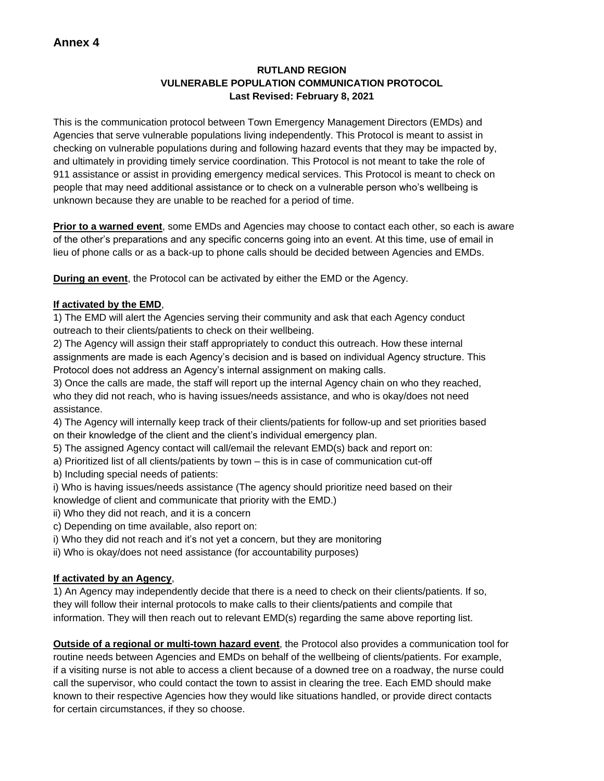#### **RUTLAND REGION VULNERABLE POPULATION COMMUNICATION PROTOCOL Last Revised: February 8, 2021**

This is the communication protocol between Town Emergency Management Directors (EMDs) and Agencies that serve vulnerable populations living independently. This Protocol is meant to assist in checking on vulnerable populations during and following hazard events that they may be impacted by, and ultimately in providing timely service coordination. This Protocol is not meant to take the role of 911 assistance or assist in providing emergency medical services. This Protocol is meant to check on people that may need additional assistance or to check on a vulnerable person who's wellbeing is unknown because they are unable to be reached for a period of time.

**Prior to a warned event**, some EMDs and Agencies may choose to contact each other, so each is aware of the other's preparations and any specific concerns going into an event. At this time, use of email in lieu of phone calls or as a back-up to phone calls should be decided between Agencies and EMDs.

**During an event**, the Protocol can be activated by either the EMD or the Agency.

#### **If activated by the EMD**,

1) The EMD will alert the Agencies serving their community and ask that each Agency conduct outreach to their clients/patients to check on their wellbeing.

2) The Agency will assign their staff appropriately to conduct this outreach. How these internal assignments are made is each Agency's decision and is based on individual Agency structure. This Protocol does not address an Agency's internal assignment on making calls.

3) Once the calls are made, the staff will report up the internal Agency chain on who they reached, who they did not reach, who is having issues/needs assistance, and who is okay/does not need assistance.

- 4) The Agency will internally keep track of their clients/patients for follow-up and set priorities based on their knowledge of the client and the client's individual emergency plan.
- 5) The assigned Agency contact will call/email the relevant EMD(s) back and report on:
- a) Prioritized list of all clients/patients by town this is in case of communication cut-off
- b) Including special needs of patients:
- i) Who is having issues/needs assistance (The agency should prioritize need based on their knowledge of client and communicate that priority with the EMD.)
- ii) Who they did not reach, and it is a concern
- c) Depending on time available, also report on:
- i) Who they did not reach and it's not yet a concern, but they are monitoring
- ii) Who is okay/does not need assistance (for accountability purposes)

#### **If activated by an Agency**,

1) An Agency may independently decide that there is a need to check on their clients/patients. If so, they will follow their internal protocols to make calls to their clients/patients and compile that information. They will then reach out to relevant EMD(s) regarding the same above reporting list.

**Outside of a regional or multi-town hazard event**, the Protocol also provides a communication tool for routine needs between Agencies and EMDs on behalf of the wellbeing of clients/patients. For example, if a visiting nurse is not able to access a client because of a downed tree on a roadway, the nurse could call the supervisor, who could contact the town to assist in clearing the tree. Each EMD should make known to their respective Agencies how they would like situations handled, or provide direct contacts for certain circumstances, if they so choose.